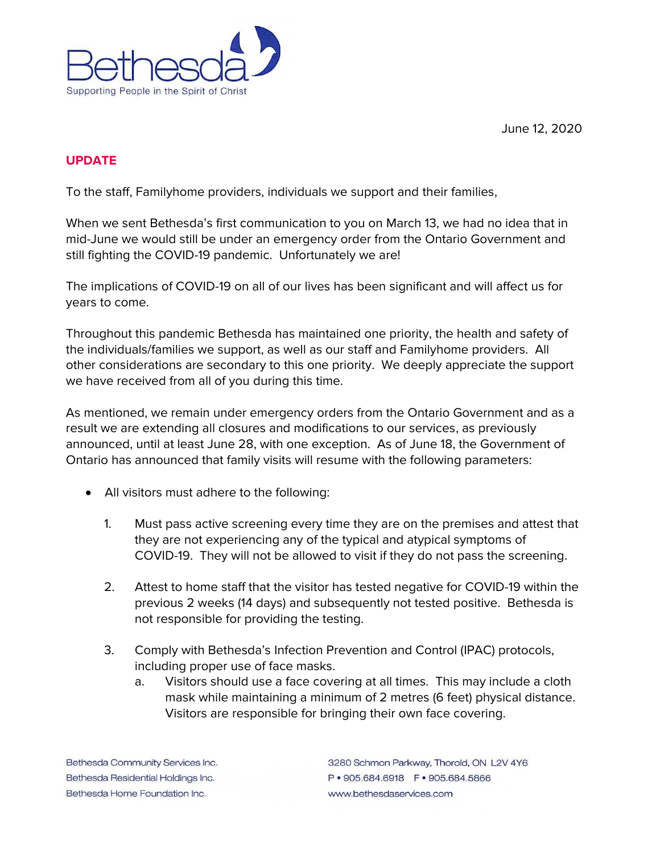



## **UPDATE**

To the staff, Familyhome providers, individuals we support and their families,

When we sent Bethesda's first communication to you on March 13, we had no idea that in mid-June we would still be under an emergency order from the Ontario Government and still fighting the COVID-19 pandemic. Unfortunately we are!

The implications of COVID-19 on all of our lives has been significant and will affect us for years to come.

Throughout this pandemic Bethesda has maintained one priority, the health and safety of the individuals/families we support, as well as our staff and Familyhome providers. All other considerations are secondary to this one priority. We deeply appreciate the support we have received from all of you during this time.

As mentioned, we remain under emergency orders from the Ontario Government and as a result we are extending all closures and modifications to our services, as previously announced, until at least June 28, with one exception. As of June 18, the Government of Ontario has announced that family visits will resume with the following parameters:

- All visitors must adhere to the following:
	- 1. Must pass active screening every time they are on the premises and attest that they are not experiencing any of the typical and atypical symptoms of COVID-19. They will not be allowed to visit if they do not pass the screening.
	- 2. Attest to home staff that the visitor has tested negative for COVID-19 within the previous 2 weeks (14 days) and subsequently not tested positive. Bethesda is not responsible for providing the testing.
	- 3. Comply with Bethesda's Infection Prevention and Control (IPAC) protocols, including proper use of face masks.
		- a. Visitors should use a face covering at all times. This may include a cloth mask while maintaining a minimum of 2 metres (6 feet) physical distance. Visitors are responsible for bringing their own face covering.